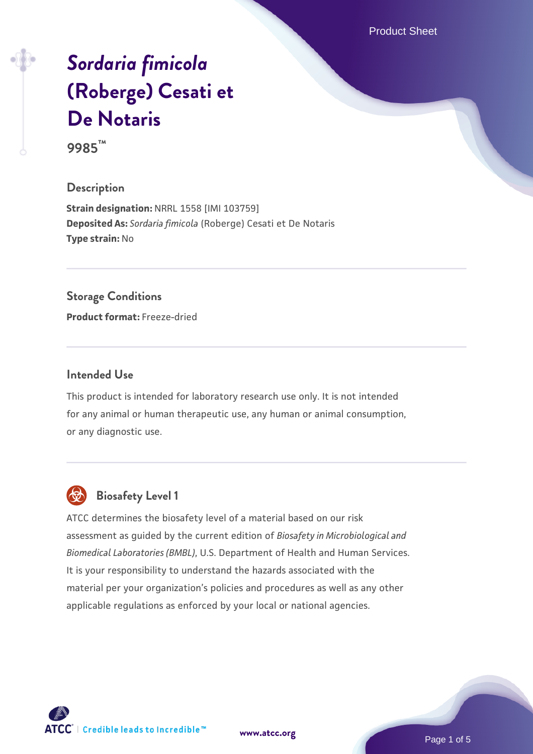Product Sheet

# *[Sordaria fimicola](https://www.atcc.org/products/9985)* **[\(Roberge\) Cesati et](https://www.atcc.org/products/9985) [De Notaris](https://www.atcc.org/products/9985)**

**9985™**

## **Description**

**Strain designation:** NRRL 1558 [IMI 103759] **Deposited As:** *Sordaria fimicola* (Roberge) Cesati et De Notaris **Type strain:** No

#### **Storage Conditions**

**Product format:** Freeze-dried

#### **Intended Use**

This product is intended for laboratory research use only. It is not intended for any animal or human therapeutic use, any human or animal consumption, or any diagnostic use.



# **Biosafety Level 1**

ATCC determines the biosafety level of a material based on our risk assessment as guided by the current edition of *Biosafety in Microbiological and Biomedical Laboratories (BMBL)*, U.S. Department of Health and Human Services. It is your responsibility to understand the hazards associated with the material per your organization's policies and procedures as well as any other applicable regulations as enforced by your local or national agencies.

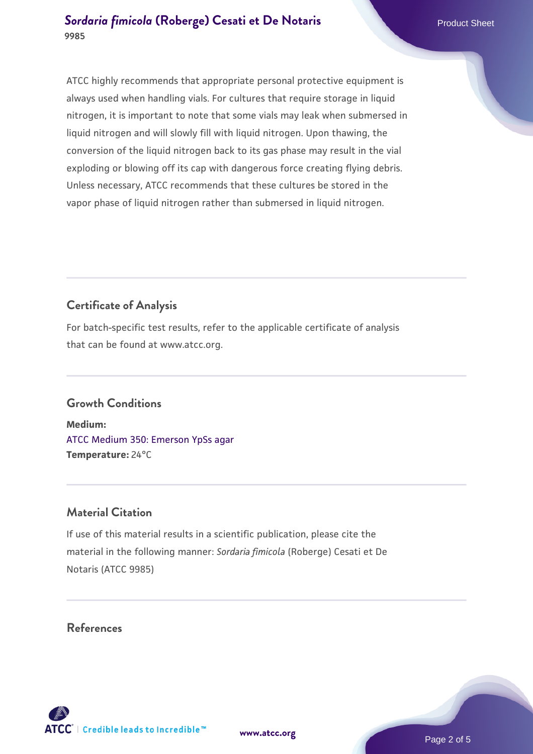### **[Sordaria fimicola](https://www.atcc.org/products/9985) [\(Roberge\) Cesati et De Notaris](https://www.atcc.org/products/9985)** Product Sheet **9985**

ATCC highly recommends that appropriate personal protective equipment is always used when handling vials. For cultures that require storage in liquid nitrogen, it is important to note that some vials may leak when submersed in liquid nitrogen and will slowly fill with liquid nitrogen. Upon thawing, the conversion of the liquid nitrogen back to its gas phase may result in the vial exploding or blowing off its cap with dangerous force creating flying debris. Unless necessary, ATCC recommends that these cultures be stored in the vapor phase of liquid nitrogen rather than submersed in liquid nitrogen.

# **Certificate of Analysis**

For batch-specific test results, refer to the applicable certificate of analysis that can be found at www.atcc.org.

# **Growth Conditions**

**Medium:**  [ATCC Medium 350: Emerson YpSs agar](https://www.atcc.org/-/media/product-assets/documents/microbial-media-formulations/3/5/0/atcc-medium-350.pdf?rev=d31d155d380a449c8b75f2d802bfc573) **Temperature:** 24°C

# **Material Citation**

If use of this material results in a scientific publication, please cite the material in the following manner: *Sordaria fimicola* (Roberge) Cesati et De Notaris (ATCC 9985)

### **References**



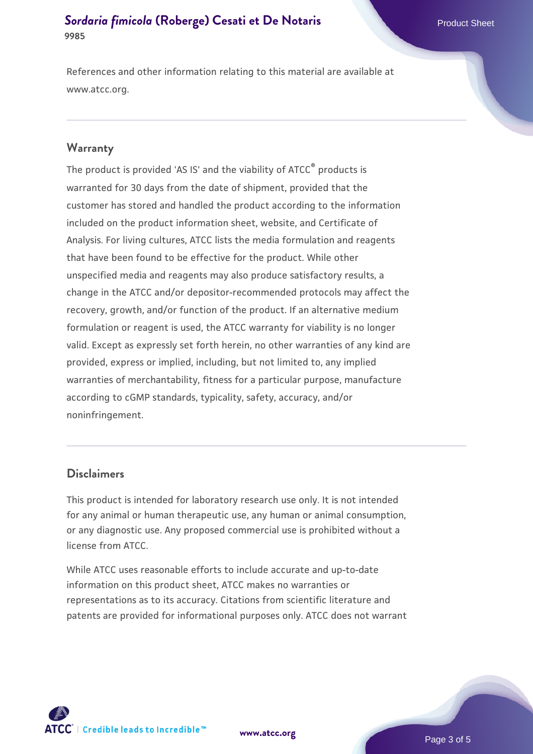#### **[Sordaria fimicola](https://www.atcc.org/products/9985) [\(Roberge\) Cesati et De Notaris](https://www.atcc.org/products/9985)** Product Sheet **9985**

References and other information relating to this material are available at www.atcc.org.

#### **Warranty**

The product is provided 'AS IS' and the viability of ATCC® products is warranted for 30 days from the date of shipment, provided that the customer has stored and handled the product according to the information included on the product information sheet, website, and Certificate of Analysis. For living cultures, ATCC lists the media formulation and reagents that have been found to be effective for the product. While other unspecified media and reagents may also produce satisfactory results, a change in the ATCC and/or depositor-recommended protocols may affect the recovery, growth, and/or function of the product. If an alternative medium formulation or reagent is used, the ATCC warranty for viability is no longer valid. Except as expressly set forth herein, no other warranties of any kind are provided, express or implied, including, but not limited to, any implied warranties of merchantability, fitness for a particular purpose, manufacture according to cGMP standards, typicality, safety, accuracy, and/or noninfringement.

#### **Disclaimers**

This product is intended for laboratory research use only. It is not intended for any animal or human therapeutic use, any human or animal consumption, or any diagnostic use. Any proposed commercial use is prohibited without a license from ATCC.

While ATCC uses reasonable efforts to include accurate and up-to-date information on this product sheet, ATCC makes no warranties or representations as to its accuracy. Citations from scientific literature and patents are provided for informational purposes only. ATCC does not warrant



**[www.atcc.org](http://www.atcc.org)**

Page 3 of 5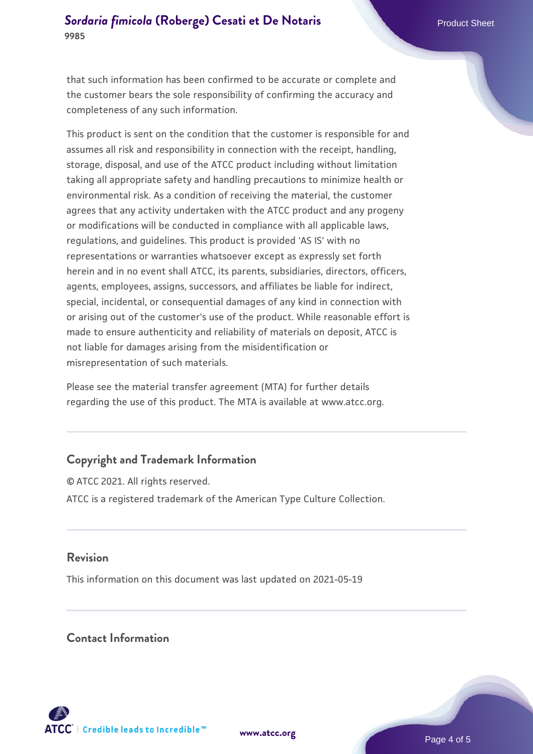## **[Sordaria fimicola](https://www.atcc.org/products/9985) [\(Roberge\) Cesati et De Notaris](https://www.atcc.org/products/9985)** Product Sheet **9985**

that such information has been confirmed to be accurate or complete and the customer bears the sole responsibility of confirming the accuracy and completeness of any such information.

This product is sent on the condition that the customer is responsible for and assumes all risk and responsibility in connection with the receipt, handling, storage, disposal, and use of the ATCC product including without limitation taking all appropriate safety and handling precautions to minimize health or environmental risk. As a condition of receiving the material, the customer agrees that any activity undertaken with the ATCC product and any progeny or modifications will be conducted in compliance with all applicable laws, regulations, and guidelines. This product is provided 'AS IS' with no representations or warranties whatsoever except as expressly set forth herein and in no event shall ATCC, its parents, subsidiaries, directors, officers, agents, employees, assigns, successors, and affiliates be liable for indirect, special, incidental, or consequential damages of any kind in connection with or arising out of the customer's use of the product. While reasonable effort is made to ensure authenticity and reliability of materials on deposit, ATCC is not liable for damages arising from the misidentification or misrepresentation of such materials.

Please see the material transfer agreement (MTA) for further details regarding the use of this product. The MTA is available at www.atcc.org.

# **Copyright and Trademark Information**

© ATCC 2021. All rights reserved. ATCC is a registered trademark of the American Type Culture Collection.

#### **Revision**

This information on this document was last updated on 2021-05-19

#### **Contact Information**



**[www.atcc.org](http://www.atcc.org)**

Page 4 of 5